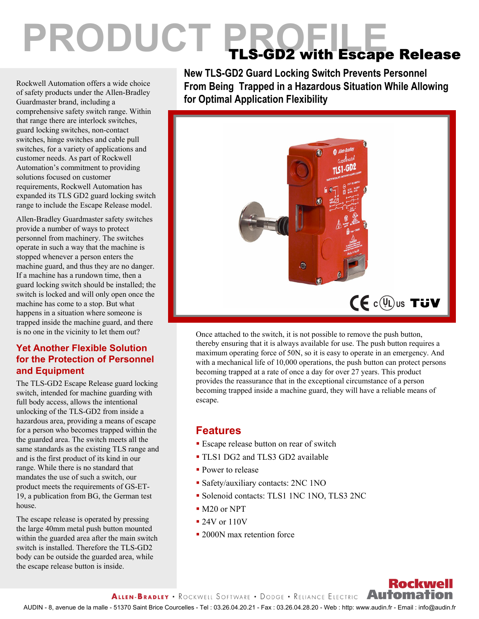# **PRODUCT PROFILE** TLS-GD2 with Escape Release

Rockwell Automation offers a wide choice of safety products under the Allen-Bradley Guardmaster brand, including a comprehensive safety switch range. Within that range there are interlock switches, guard locking switches, non-contact switches, hinge switches and cable pull switches, for a variety of applications and customer needs. As part of Rockwell Automation's commitment to providing solutions focused on customer requirements, Rockwell Automation has expanded its TLS GD2 guard locking switch range to include the Escape Release model.

Allen-Bradley Guardmaster safety switches provide a number of ways to protect personnel from machinery. The switches operate in such a way that the machine is stopped whenever a person enters the machine guard, and thus they are no danger. If a machine has a rundown time, then a guard locking switch should be installed; the switch is locked and will only open once the machine has come to a stop. But what happens in a situation where someone is trapped inside the machine guard, and there is no one in the vicinity to let them out?

#### **Yet Another Flexible Solution for the Protection of Personnel and Equipment**

The TLS-GD2 Escape Release guard locking switch, intended for machine guarding with full body access, allows the intentional unlocking of the TLS-GD2 from inside a hazardous area, providing a means of escape for a person who becomes trapped within the the guarded area. The switch meets all the same standards as the existing TLS range and and is the first product of its kind in our range. While there is no standard that mandates the use of such a switch, our product meets the requirements of GS-ET-19, a publication from BG, the German test house.

The escape release is operated by pressing the large 40mm metal push button mounted within the guarded area after the main switch switch is installed. Therefore the TLS-GD2 body can be outside the guarded area, while the escape release button is inside.

**New TLS-GD2 Guard Locking Switch Prevents Personnel From Being Trapped in a Hazardous Situation While Allowing for Optimal Application Flexibility**



Once attached to the switch, it is not possible to remove the push button, thereby ensuring that it is always available for use. The push button requires a maximum operating force of 50N, so it is easy to operate in an emergency. And with a mechanical life of 10,000 operations, the push button can protect persons becoming trapped at a rate of once a day for over 27 years. This product provides the reassurance that in the exceptional circumstance of a person becoming trapped inside a machine guard, they will have a reliable means of escape.

**Rockwell** 

## **Features**

- **Excape release button on rear of switch**
- TLS1 DG2 and TLS3 GD2 available
- **Power to release**
- Safety/auxiliary contacts: 2NC 1NO
- Solenoid contacts: TLS1 1NC 1NO, TLS3 2NC
- $-M20$  or NPT
- $\approx 24V$  or 110V
- 2000N max retention force